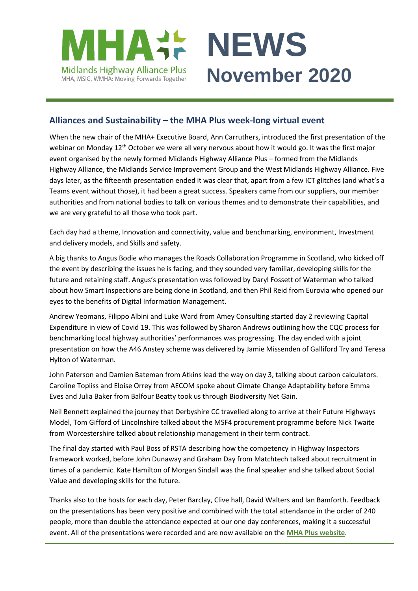



# **Alliances and Sustainability – the MHA Plus week-long virtual event**

When the new chair of the MHA+ Executive Board, Ann Carruthers, introduced the first presentation of the webinar on Monday 12<sup>th</sup> October we were all very nervous about how it would go. It was the first major event organised by the newly formed Midlands Highway Alliance Plus – formed from the Midlands Highway Alliance, the Midlands Service Improvement Group and the West Midlands Highway Alliance. Five days later, as the fifteenth presentation ended it was clear that, apart from a few ICT glitches (and what's a Teams event without those), it had been a great success. Speakers came from our suppliers, our member authorities and from national bodies to talk on various themes and to demonstrate their capabilities, and we are very grateful to all those who took part.

Each day had a theme, Innovation and connectivity, value and benchmarking, environment, Investment and delivery models, and Skills and safety.

A big thanks to Angus Bodie who manages the Roads Collaboration Programme in Scotland, who kicked off the event by describing the issues he is facing, and they sounded very familiar, developing skills for the future and retaining staff. Angus's presentation was followed by Daryl Fossett of Waterman who talked about how Smart Inspections are being done in Scotland, and then Phil Reid from Eurovia who opened our eyes to the benefits of Digital Information Management.

Andrew Yeomans, Filippo Albini and Luke Ward from Amey Consulting started day 2 reviewing Capital Expenditure in view of Covid 19. This was followed by Sharon Andrews outlining how the CQC process for benchmarking local highway authorities' performances was progressing. The day ended with a joint presentation on how the A46 Anstey scheme was delivered by Jamie Missenden of Galliford Try and Teresa Hylton of Waterman.

John Paterson and Damien Bateman from Atkins lead the way on day 3, talking about carbon calculators. Caroline Topliss and Eloise Orrey from AECOM spoke about Climate Change Adaptability before Emma Eves and Julia Baker from Balfour Beatty took us through Biodiversity Net Gain.

Neil Bennett explained the journey that Derbyshire CC travelled along to arrive at their Future Highways Model, Tom Gifford of Lincolnshire talked about the MSF4 procurement programme before Nick Twaite from Worcestershire talked about relationship management in their term contract.

The final day started with Paul Boss of RSTA describing how the competency in Highway Inspectors framework worked, before John Dunaway and Graham Day from Matchtech talked about recruitment in times of a pandemic. Kate Hamilton of Morgan Sindall was the final speaker and she talked about Social Value and developing skills for the future.

Thanks also to the hosts for each day, Peter Barclay, Clive hall, David Walters and Ian Bamforth. Feedback on the presentations has been very positive and combined with the total attendance in the order of 240 people, more than double the attendance expected at our one day conferences, making it a successful event. All of the presentations were recorded and are now available on the **[MHA Plus website](https://www.mhaweb.org.uk/alliances-and-sustainability-webinar-week-october-2020/)**.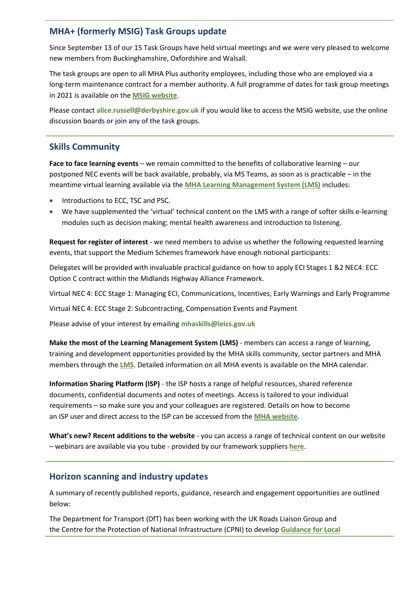#### **MHA+ (formerly MSIG) Task Groups update**

Since September 13 of our 15 Task Groups have held virtual meetings and we were very pleased to welcome new members from Buckinghamshire, Oxfordshire and Walsall.

The task groups are open to all MHA Plus authority employees, including those who are employed via a long-term maintenance contract for a member authority. A full programme of dates for task group meetings in 2021 is available on the **[MSIG website](https://msig.econtrack.com/Content.aspx?1802)**.

Please contact **[alice.russell@derbyshire.gov.uk](mailto:alice.russell@derbyshire.gov.uk)** if you would like to access the MSIG website, use the online discussion boards or join any of the task groups.

### **Skills Community**

**Face to face learning events** – we remain committed to the benefits of collaborative learning – our postponed NEC events will be back available, probably, via MS Teams, as soon as is practicable – in the meantime virtual learning available via the **[MHA Learning Management System \(LMS\)](https://mhaskills.virtual-college.co.uk/)** includes:

- Introductions to ECC, TSC and PSC.
- We have supplemented the 'virtual' technical content on the LMS with a range of softer skills e-learning modules such as decision making; mental health awareness and introduction to listening.

**Request for register of interest** - we need members to advise us whether the following requested learning events, that support the Medium Schemes framework have enough notional participants:

Delegates will be provided with invaluable practical guidance on how to apply ECI Stages 1 &2 NEC4: ECC Option C contract within the Midlands Highway Alliance Framework.

Virtual NEC 4: ECC Stage 1: Managing ECI, Communications, Incentives, Early Warnings and Early Programme

Virtual NEC 4: ECC Stage 2: Subcontracting, Compensation Events and Payment

Please advise of your interest by emailing **[mhaskills@leics.gov.uk](mailto:mhaskills@leics.gov.uk)**

**Make the most of the Learning Management System (LMS)** - members can access a range of learning, training and development opportunities provided by the MHA skills community, sector partners and MHA members through the **[LMS](https://mhaskills.virtual-college.co.uk/)**. Detailed information on all MHA events is available on the MHA calendar.

**Information Sharing Platform (ISP)** - the ISP hosts a range of helpful resources, shared reference documents, confidential documents and notes of meetings. Access is tailored to your individual requirements – so make sure you and your colleagues are registered. Details on how to become an ISP user and direct access to the ISP can be accessed from the **[MHA website](https://www.mhaweb.org.uk/member/)**.

**What's new? Recent additions to the website** - you can access a range of technical content on our website – webinars are available via you tube - provided by our framework suppliers **[here](https://www.mhaweb.org.uk/work-streams/skills-academy/learning-and-development/mha-supplier-learning-content/)**.

#### **Horizon scanning and industry updates**

A summary of recently published reports, guidance, research and engagement opportunities are outlined below:

The Department for Transport (DfT) has been working with the UK Roads Liaison Group and the Centre for the Protection of National Infrastructure (CPNI) to develop **[Guidance for Local](https://www.ciht.org.uk/uk-rlg-news-listings/maintaining-a-security-minded-approach-during-the-pandemic/)**